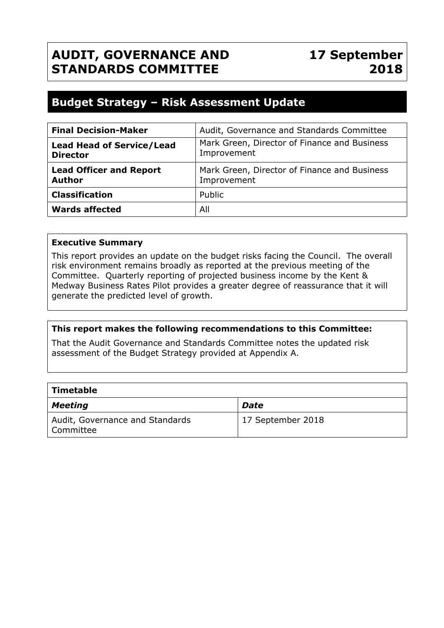# **AUDIT, GOVERNANCE AND STANDARDS COMMITTEE**

# **Budget Strategy – Risk Assessment Update**

| <b>Final Decision-Maker</b>                         | Audit, Governance and Standards Committee                   |  |
|-----------------------------------------------------|-------------------------------------------------------------|--|
| <b>Lead Head of Service/Lead</b><br><b>Director</b> | Mark Green, Director of Finance and Business<br>Improvement |  |
| <b>Lead Officer and Report</b><br><b>Author</b>     | Mark Green, Director of Finance and Business<br>Improvement |  |
| <b>Classification</b>                               | Public                                                      |  |
| <b>Wards affected</b>                               | All                                                         |  |

#### **Executive Summary**

This report provides an update on the budget risks facing the Council. The overall risk environment remains broadly as reported at the previous meeting of the Committee. Quarterly reporting of projected business income by the Kent & Medway Business Rates Pilot provides a greater degree of reassurance that it will generate the predicted level of growth.

#### **This report makes the following recommendations to this Committee:**

That the Audit Governance and Standards Committee notes the updated risk assessment of the Budget Strategy provided at Appendix A.

| <b>Timetable</b>                             |                   |
|----------------------------------------------|-------------------|
| <b>Meeting</b>                               | Date              |
| Audit, Governance and Standards<br>Committee | 17 September 2018 |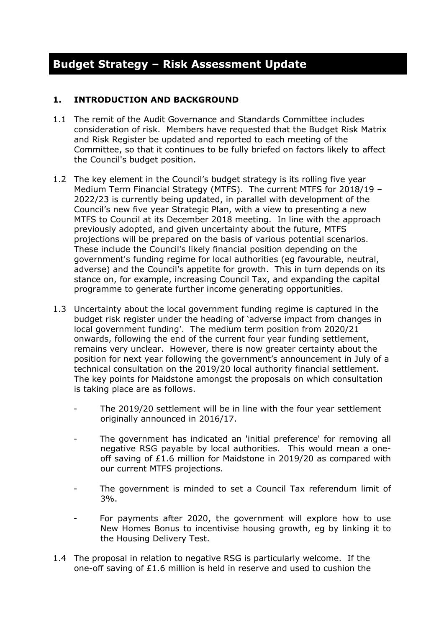## **1. INTRODUCTION AND BACKGROUND**

- 1.1 The remit of the Audit Governance and Standards Committee includes consideration of risk. Members have requested that the Budget Risk Matrix and Risk Register be updated and reported to each meeting of the Committee, so that it continues to be fully briefed on factors likely to affect the Council's budget position.
- 1.2 The key element in the Council's budget strategy is its rolling five year Medium Term Financial Strategy (MTFS). The current MTFS for 2018/19 – 2022/23 is currently being updated, in parallel with development of the Council's new five year Strategic Plan, with a view to presenting a new MTFS to Council at its December 2018 meeting. In line with the approach previously adopted, and given uncertainty about the future, MTFS projections will be prepared on the basis of various potential scenarios. These include the Council's likely financial position depending on the government's funding regime for local authorities (eg favourable, neutral, adverse) and the Council's appetite for growth. This in turn depends on its stance on, for example, increasing Council Tax, and expanding the capital programme to generate further income generating opportunities.
- 1.3 Uncertainty about the local government funding regime is captured in the budget risk register under the heading of 'adverse impact from changes in local government funding'. The medium term position from 2020/21 onwards, following the end of the current four year funding settlement, remains very unclear. However, there is now greater certainty about the position for next year following the government's announcement in July of a technical consultation on the 2019/20 local authority financial settlement. The key points for Maidstone amongst the proposals on which consultation is taking place are as follows.
	- The 2019/20 settlement will be in line with the four year settlement originally announced in 2016/17.
	- The government has indicated an 'initial preference' for removing all negative RSG payable by local authorities. This would mean a oneoff saving of £1.6 million for Maidstone in 2019/20 as compared with our current MTFS projections.
	- The government is minded to set a Council Tax referendum limit of 3%.
	- For payments after 2020, the government will explore how to use New Homes Bonus to incentivise housing growth, eg by linking it to the Housing Delivery Test.
- 1.4 The proposal in relation to negative RSG is particularly welcome. If the one-off saving of £1.6 million is held in reserve and used to cushion the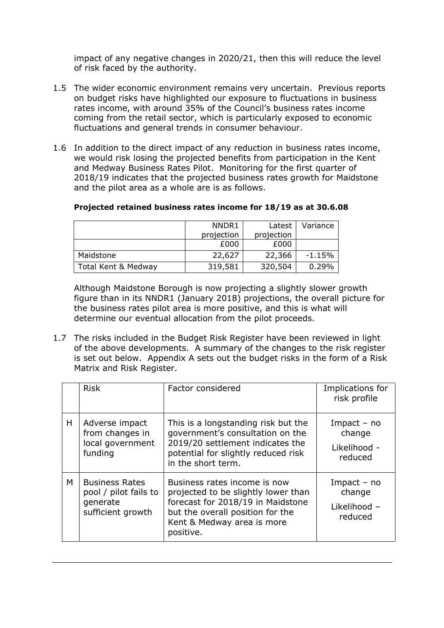impact of any negative changes in 2020/21, then this will reduce the level of risk faced by the authority.

- 1.5 The wider economic environment remains very uncertain. Previous reports on budget risks have highlighted our exposure to fluctuations in business rates income, with around 35% of the Council's business rates income coming from the retail sector, which is particularly exposed to economic fluctuations and general trends in consumer behaviour.
- 1.6 In addition to the direct impact of any reduction in business rates income, we would risk losing the projected benefits from participation in the Kent and Medway Business Rates Pilot. Monitoring for the first quarter of 2018/19 indicates that the projected business rates growth for Maidstone and the pilot area as a whole are is as follows.

| NNDR1      | Latest $\vert$ | Variance |
|------------|----------------|----------|
| projection | projection     |          |
| £000       | £000           |          |

Maidstone 1.15% Total Kent & Medway 319,581 320,504 0.29%

#### **Projected retained business rates income for 18/19 as at 30.6.08**

Although Maidstone Borough is now projecting a slightly slower growth figure than in its NNDR1 (January 2018) projections, the overall picture for the business rates pilot area is more positive, and this is what will determine our eventual allocation from the pilot proceeds.

1.7 The risks included in the Budget Risk Register have been reviewed in light of the above developments. A summary of the changes to the risk register is set out below. Appendix A sets out the budget risks in the form of a Risk Matrix and Risk Register.

|   | <b>Risk</b>                                                                     | Factor considered                                                                                                                                                                       | Implications for<br>risk profile                    |
|---|---------------------------------------------------------------------------------|-----------------------------------------------------------------------------------------------------------------------------------------------------------------------------------------|-----------------------------------------------------|
| Н | Adverse impact<br>from changes in<br>local government<br>funding                | This is a longstanding risk but the<br>government's consultation on the<br>2019/20 settlement indicates the<br>potential for slightly reduced risk<br>in the short term.                | $Im$ pact – no<br>change<br>Likelihood -<br>reduced |
| M | <b>Business Rates</b><br>pool / pilot fails to<br>generate<br>sufficient growth | Business rates income is now<br>projected to be slightly lower than<br>forecast for 2018/19 in Maidstone<br>but the overall position for the<br>Kent & Medway area is more<br>positive. | $Im$ pact – no<br>change<br>Likelihood -<br>reduced |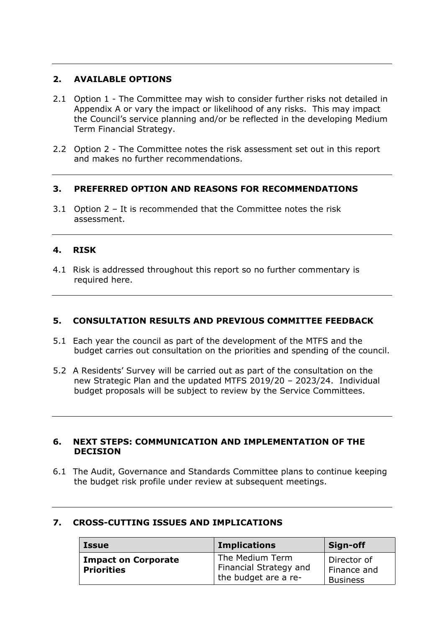### **2. AVAILABLE OPTIONS**

- 2.1 Option 1 The Committee may wish to consider further risks not detailed in Appendix A or vary the impact or likelihood of any risks. This may impact the Council's service planning and/or be reflected in the developing Medium Term Financial Strategy.
- 2.2 Option 2 The Committee notes the risk assessment set out in this report and makes no further recommendations.

#### **3. PREFERRED OPTION AND REASONS FOR RECOMMENDATIONS**

3.1 Option 2 – It is recommended that the Committee notes the risk assessment.

#### **4. RISK**

4.1 Risk is addressed throughout this report so no further commentary is required here.

#### **5. CONSULTATION RESULTS AND PREVIOUS COMMITTEE FEEDBACK**

- 5.1 Each year the council as part of the development of the MTFS and the budget carries out consultation on the priorities and spending of the council.
- 5.2 A Residents' Survey will be carried out as part of the consultation on the new Strategic Plan and the updated MTFS 2019/20 – 2023/24. Individual budget proposals will be subject to review by the Service Committees.

#### **6. NEXT STEPS: COMMUNICATION AND IMPLEMENTATION OF THE DECISION**

6.1 The Audit, Governance and Standards Committee plans to continue keeping the budget risk profile under review at subsequent meetings.

#### **7. CROSS-CUTTING ISSUES AND IMPLICATIONS**

| Issue                                           | <b>Implications</b>                                               | Sign-off                                      |
|-------------------------------------------------|-------------------------------------------------------------------|-----------------------------------------------|
| <b>Impact on Corporate</b><br><b>Priorities</b> | The Medium Term<br>Financial Strategy and<br>the budget are a re- | Director of<br>Finance and<br><b>Business</b> |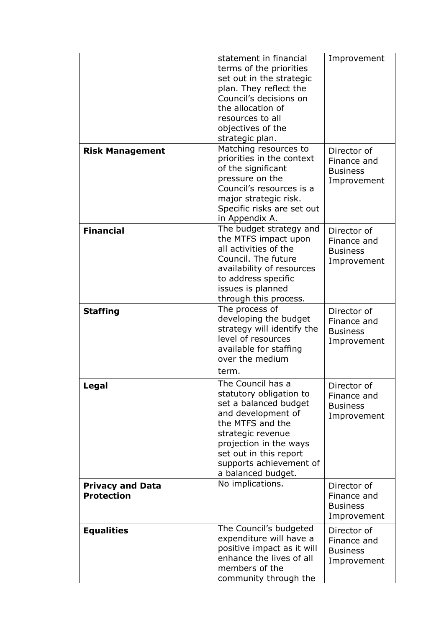|                                              | statement in financial<br>terms of the priorities<br>set out in the strategic<br>plan. They reflect the<br>Council's decisions on<br>the allocation of<br>resources to all<br>objectives of the<br>strategic plan.                        | Improvement                                                  |
|----------------------------------------------|-------------------------------------------------------------------------------------------------------------------------------------------------------------------------------------------------------------------------------------------|--------------------------------------------------------------|
| <b>Risk Management</b>                       | Matching resources to<br>priorities in the context<br>of the significant<br>pressure on the<br>Council's resources is a<br>major strategic risk.<br>Specific risks are set out<br>in Appendix A.                                          | Director of<br>Finance and<br><b>Business</b><br>Improvement |
| <b>Financial</b>                             | The budget strategy and<br>the MTFS impact upon<br>all activities of the<br>Council. The future<br>availability of resources<br>to address specific<br>issues is planned<br>through this process.                                         | Director of<br>Finance and<br><b>Business</b><br>Improvement |
| <b>Staffing</b>                              | The process of<br>developing the budget<br>strategy will identify the<br>level of resources<br>available for staffing<br>over the medium<br>term.                                                                                         | Director of<br>Finance and<br><b>Business</b><br>Improvement |
| Legal                                        | The Council has a<br>statutory obligation to<br>set a balanced budget<br>and development of<br>the MTFS and the<br>strategic revenue<br>projection in the ways<br>set out in this report<br>supports achievement of<br>a balanced budget. | Director of<br>Finance and<br><b>Business</b><br>Improvement |
| <b>Privacy and Data</b><br><b>Protection</b> | No implications.                                                                                                                                                                                                                          | Director of<br>Finance and<br><b>Business</b><br>Improvement |
| <b>Equalities</b>                            | The Council's budgeted<br>expenditure will have a<br>positive impact as it will<br>enhance the lives of all<br>members of the<br>community through the                                                                                    | Director of<br>Finance and<br><b>Business</b><br>Improvement |